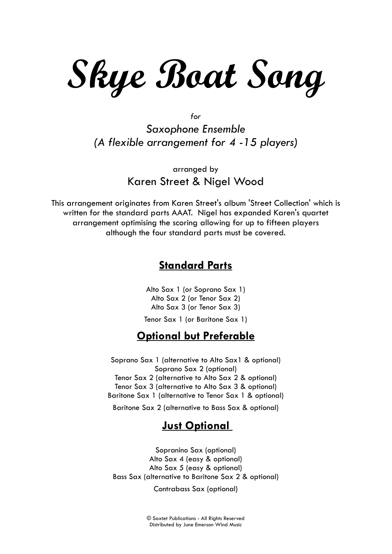**Skye Boat Song**

*for Saxophone Ensemble (A flexible arrangement for 4 -15 players)*

arranged by Karen Street & Nigel Wood

This arrangement originates from Karen Street's album 'Street Collection' which is written for the standard parts AAAT. Nigel has expanded Karen's quartet arrangement optimising the scoring allowing for up to fifteen players although the four standard parts must be covered.

## **Standard Parts**

Alto Sax 1 (or Soprano Sax 1) Alto Sax 2 (or Tenor Sax 2) Alto Sax 3 (or Tenor Sax 3)

Tenor Sax 1 (or Baritone Sax 1)

## **Optional but Preferable**

Soprano Sax 1 (alternative to Alto Sax1 & optional) Soprano Sax 2 (optional) Tenor Sax 2 (alternative to Alto Sax 2 & optional) Tenor Sax 3 (alternative to Alto Sax 3 & optional) Baritone Sax 1 (alternative to Tenor Sax 1 & optional) Baritone Sax 2 (alternative to Bass Sax & optional)

## **Just Optional**

Sopranino Sax (optional) Alto Sax 4 (easy & optional) Alto Sax 5 (easy & optional) Bass Sax (alternative to Baritone Sax 2 & optional)

Contrabass Sax (optional)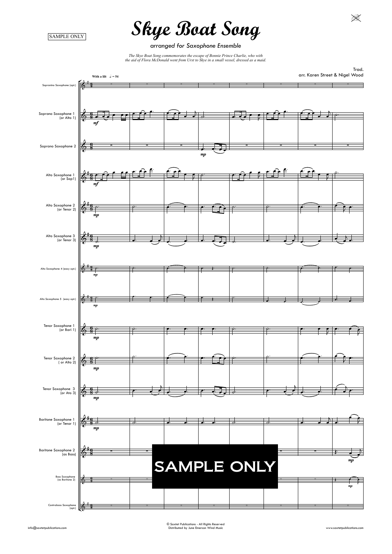SAMPLE ONLY

*arranged for Saxophone Ensemble*

*The Skye Boat Song commemorates the escape of Bonnie Prince Charlie, who with the gid of Elega McDonald want from Lingt to Sing in a gunall used degreed* as a maid